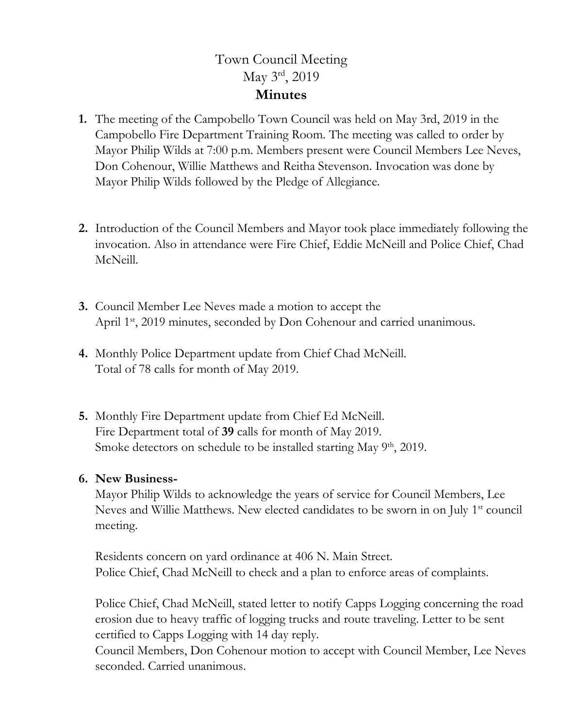## Town Council Meeting May 3rd, 2019 **Minutes**

- **1.** The meeting of the Campobello Town Council was held on May 3rd, 2019 in the Campobello Fire Department Training Room. The meeting was called to order by Mayor Philip Wilds at 7:00 p.m. Members present were Council Members Lee Neves, Don Cohenour, Willie Matthews and Reitha Stevenson. Invocation was done by Mayor Philip Wilds followed by the Pledge of Allegiance.
- **2.** Introduction of the Council Members and Mayor took place immediately following the invocation. Also in attendance were Fire Chief, Eddie McNeill and Police Chief, Chad McNeill.
- **3.** Council Member Lee Neves made a motion to accept the April 1<sup>st</sup>, 2019 minutes, seconded by Don Cohenour and carried unanimous.
- **4.** Monthly Police Department update from Chief Chad McNeill. Total of 78 calls for month of May 2019.
- **5.** Monthly Fire Department update from Chief Ed McNeill. Fire Department total of **39** calls for month of May 2019. Smoke detectors on schedule to be installed starting May  $9<sup>th</sup>$ , 2019.

## **6. New Business-**

Mayor Philip Wilds to acknowledge the years of service for Council Members, Lee Neves and Willie Matthews. New elected candidates to be sworn in on July 1<sup>st</sup> council meeting.

Residents concern on yard ordinance at 406 N. Main Street. Police Chief, Chad McNeill to check and a plan to enforce areas of complaints.

Police Chief, Chad McNeill, stated letter to notify Capps Logging concerning the road erosion due to heavy traffic of logging trucks and route traveling. Letter to be sent certified to Capps Logging with 14 day reply.

Council Members, Don Cohenour motion to accept with Council Member, Lee Neves seconded. Carried unanimous.